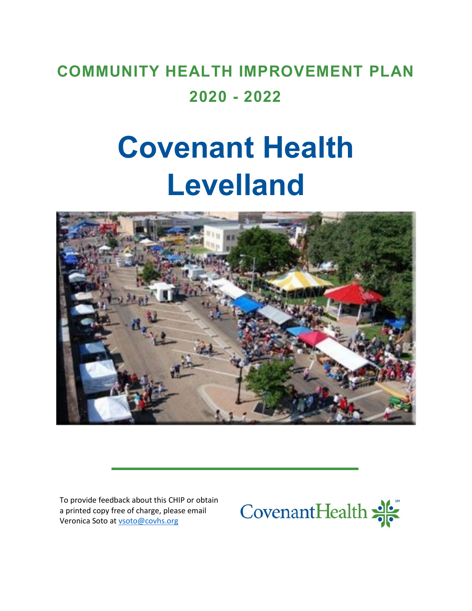# **COMMUNITY HEALTH IMPROVEMENT PLAN 2020 - 2022**

# **Covenant Health Levelland**



To provide feedback about this CHIP or obtain a printed copy free of charge, please email Veronica Soto a[t vsoto@covhs.org](mailto:vsoto@covhs.org)

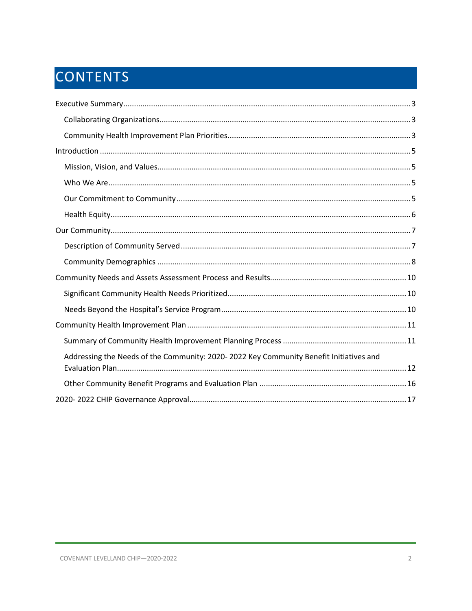# CONTENTS

| Addressing the Needs of the Community: 2020-2022 Key Community Benefit Initiatives and |
|----------------------------------------------------------------------------------------|
|                                                                                        |
|                                                                                        |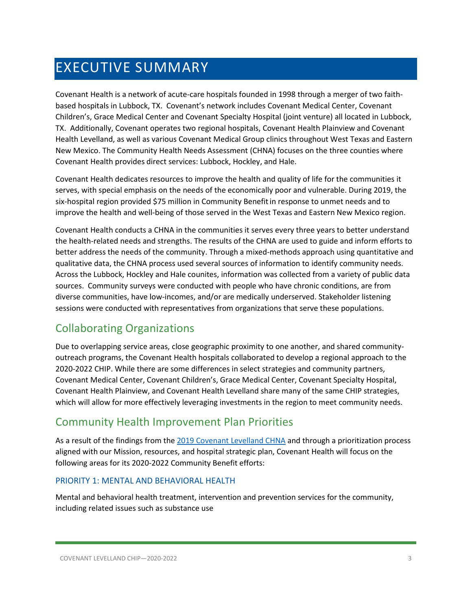# <span id="page-2-0"></span>EXECUTIVE SUMMARY

Covenant Health is a network of acute-care hospitals founded in 1998 through a merger of two faithbased hospitals in Lubbock, TX. Covenant's network includes Covenant Medical Center, Covenant Children's, Grace Medical Center and Covenant Specialty Hospital (joint venture) all located in Lubbock, TX. Additionally, Covenant operates two regional hospitals, Covenant Health Plainview and Covenant Health Levelland, as well as various Covenant Medical Group clinics throughout West Texas and Eastern New Mexico. The Community Health Needs Assessment (CHNA) focuses on the three counties where Covenant Health provides direct services: Lubbock, Hockley, and Hale.

Covenant Health dedicates resources to improve the health and quality of life for the communities it serves, with special emphasis on the needs of the economically poor and vulnerable. During 2019, the six-hospital region provided \$75 million in Community Benefit in response to unmet needs and to improve the health and well-being of those served in the West Texas and Eastern New Mexico region.

Covenant Health conducts a CHNA in the communities it serves every three years to better understand the health-related needs and strengths. The results of the CHNA are used to guide and inform efforts to better address the needs of the community. Through a mixed-methods approach using quantitative and qualitative data, the CHNA process used several sources of information to identify community needs. Across the Lubbock, Hockley and Hale counites, information was collected from a variety of public data sources. Community surveys were conducted with people who have chronic conditions, are from diverse communities, have low-incomes, and/or are medically underserved. Stakeholder listening sessions were conducted with representatives from organizations that serve these populations.

### <span id="page-2-1"></span>Collaborating Organizations

Due to overlapping service areas, close geographic proximity to one another, and shared communityoutreach programs, the Covenant Health hospitals collaborated to develop a regional approach to the 2020-2022 CHIP. While there are some differences in select strategies and community partners, Covenant Medical Center, Covenant Children's, Grace Medical Center, Covenant Specialty Hospital, Covenant Health Plainview, and Covenant Health Levelland share many of the same CHIP strategies, which will allow for more effectively leveraging investments in the region to meet community needs.

### <span id="page-2-2"></span>Community Health Improvement Plan Priorities

As a result of the findings from the [2019 Covenant Levelland CHNA](https://www.providence.org/-/media/Project/psjh/providence/socal/Files/about/community-benefit/reports/2019chna-covenantlevelland.pdf?la=en&hash=CE8A4AF1254E23B7378C9FA3161B7B9E) and through a prioritization process aligned with our Mission, resources, and hospital strategic plan, Covenant Health will focus on the following areas for its 2020-2022 Community Benefit efforts:

### PRIORITY 1: MENTAL AND BEHAVIORAL HEALTH

Mental and behavioral health treatment, intervention and prevention services for the community, including related issues such as substance use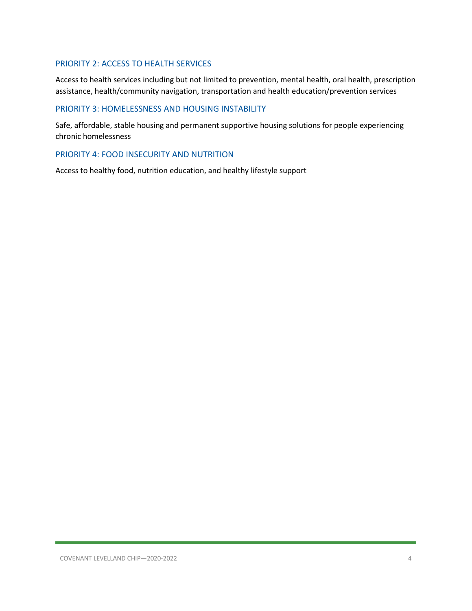### PRIORITY 2: ACCESS TO HEALTH SERVICES

Access to health services including but not limited to prevention, mental health, oral health, prescription assistance, health/community navigation, transportation and health education/prevention services

### PRIORITY 3: HOMELESSNESS AND HOUSING INSTABILITY

Safe, affordable, stable housing and permanent supportive housing solutions for people experiencing chronic homelessness

### PRIORITY 4: FOOD INSECURITY AND NUTRITION

Access to healthy food, nutrition education, and healthy lifestyle support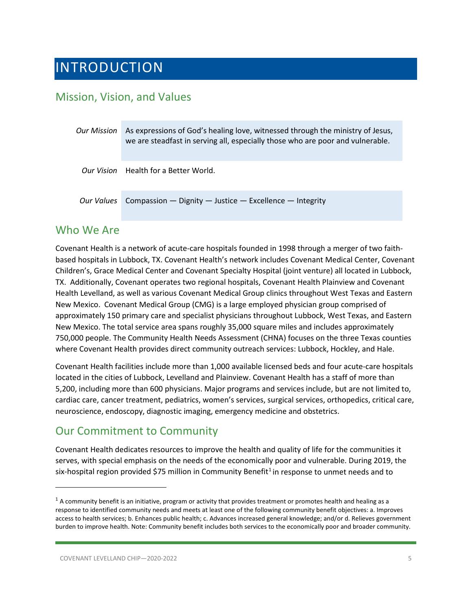# <span id="page-4-0"></span>INTRODUCTION

### <span id="page-4-1"></span>Mission, Vision, and Values

| Our Mission | As expressions of God's healing love, witnessed through the ministry of Jesus,<br>we are steadfast in serving all, especially those who are poor and vulnerable. |
|-------------|------------------------------------------------------------------------------------------------------------------------------------------------------------------|
|             | Our Vision Health for a Better World.                                                                                                                            |
| Our Values  | Compassion $-$ Dignity $-$ Justice $-$ Excellence $-$ Integrity                                                                                                  |

### <span id="page-4-2"></span>Who We Are

Covenant Health is a network of acute-care hospitals founded in 1998 through a merger of two faithbased hospitals in Lubbock, TX. Covenant Health's network includes Covenant Medical Center, Covenant Children's, Grace Medical Center and Covenant Specialty Hospital (joint venture) all located in Lubbock, TX. Additionally, Covenant operates two regional hospitals, Covenant Health Plainview and Covenant Health Levelland, as well as various Covenant Medical Group clinics throughout West Texas and Eastern New Mexico. Covenant Medical Group (CMG) is a large employed physician group comprised of approximately 150 primary care and specialist physicians throughout Lubbock, West Texas, and Eastern New Mexico. The total service area spans roughly 35,000 square miles and includes approximately 750,000 people. The Community Health Needs Assessment (CHNA) focuses on the three Texas counties where Covenant Health provides direct community outreach services: Lubbock, Hockley, and Hale.

Covenant Health facilities include more than 1,000 available licensed beds and four acute-care hospitals located in the cities of Lubbock, Levelland and Plainview. Covenant Health has a staff of more than 5,200, including more than 600 physicians. Major programs and services include, but are not limited to, cardiac care, cancer treatment, pediatrics, women's services, surgical services, orthopedics, critical care, neuroscience, endoscopy, diagnostic imaging, emergency medicine and obstetrics.

### <span id="page-4-3"></span>Our Commitment to Community

Covenant Health dedicates resources to improve the health and quality of life for the communities it serves, with special emphasis on the needs of the economically poor and vulnerable. During 2019, the six-hospital region provided \$75 million in Community Benefit<sup>[1](#page-4-4)</sup> in response to unmet needs and to

<span id="page-4-4"></span> $1$  A community benefit is an initiative, program or activity that provides treatment or promotes health and healing as a response to identified community needs and meets at least one of the following community benefit objectives: a. Improves access to health services; b. Enhances public health; c. Advances increased general knowledge; and/or d. Relieves government burden to improve health. Note: Community benefit includes both services to the economically poor and broader community.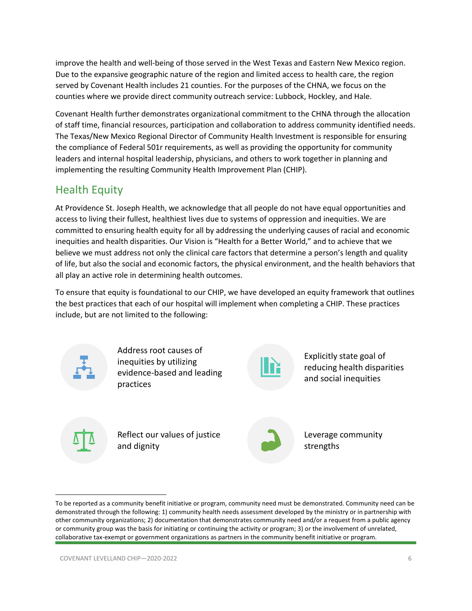improve the health and well-being of those served in the West Texas and Eastern New Mexico region. Due to the expansive geographic nature of the region and limited access to health care, the region served by Covenant Health includes 21 counties. For the purposes of the CHNA, we focus on the counties where we provide direct community outreach service: Lubbock, Hockley, and Hale.

Covenant Health further demonstrates organizational commitment to the CHNA through the allocation of staff time, financial resources, participation and collaboration to address community identified needs. The Texas/New Mexico Regional Director of Community Health Investment is responsible for ensuring the compliance of Federal 501r requirements, as well as providing the opportunity for community leaders and internal hospital leadership, physicians, and others to work together in planning and implementing the resulting Community Health Improvement Plan (CHIP).

### <span id="page-5-0"></span>Health Equity

At Providence St. Joseph Health, we acknowledge that all people do not have equal opportunities and access to living their fullest, healthiest lives due to systems of oppression and inequities. We are committed to ensuring health equity for all by addressing the underlying causes of racial and economic inequities and health disparities. Our Vision is "Health for a Better World," and to achieve that we believe we must address not only the clinical care factors that determine a person's length and quality of life, but also the social and economic factors, the physical environment, and the health behaviors that all play an active role in determining health outcomes.

To ensure that equity is foundational to our CHIP, we have developed an equity framework that outlines the best practices that each of our hospital will implement when completing a CHIP. These practices include, but are not limited to the following:



Address root causes of inequities by utilizing evidence-based and leading practices



Explicitly state goal of reducing health disparities and social inequities

Reflect our values of justice and dignity



Leverage community strengths

To be reported as a community benefit initiative or program, community need must be demonstrated. Community need can be demonstrated through the following: 1) community health needs assessment developed by the ministry or in partnership with other community organizations; 2) documentation that demonstrates community need and/or a request from a public agency or community group was the basis for initiating or continuing the activity or program; 3) or the involvement of unrelated, collaborative tax-exempt or government organizations as partners in the community benefit initiative or program.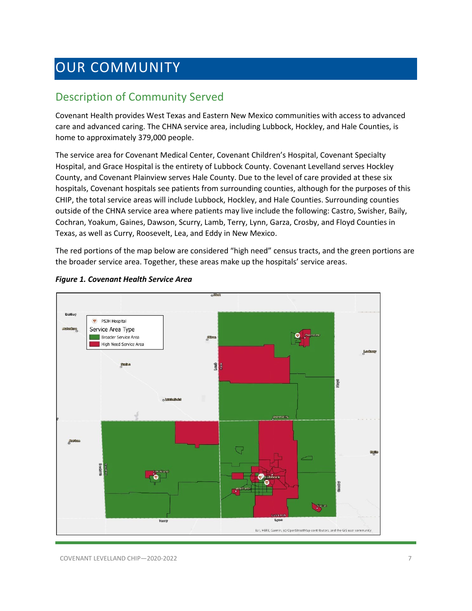# <span id="page-6-0"></span>OUR COMMUNITY

### <span id="page-6-1"></span>Description of Community Served

Covenant Health provides West Texas and Eastern New Mexico communities with access to advanced care and advanced caring. The CHNA service area, including Lubbock, Hockley, and Hale Counties, is home to approximately 379,000 people.

The service area for Covenant Medical Center, Covenant Children's Hospital, Covenant Specialty Hospital, and Grace Hospital is the entirety of Lubbock County. Covenant Levelland serves Hockley County, and Covenant Plainview serves Hale County. Due to the level of care provided at these six hospitals, Covenant hospitals see patients from surrounding counties, although for the purposes of this CHIP, the total service areas will include Lubbock, Hockley, and Hale Counties. Surrounding counties outside of the CHNA service area where patients may live include the following: Castro, Swisher, Baily, Cochran, Yoakum, Gaines, Dawson, Scurry, Lamb, Terry, Lynn, Garza, Crosby, and Floyd Counties in Texas, as well as Curry, Roosevelt, Lea, and Eddy in New Mexico.

The red portions of the map below are considered "high need" census tracts, and the green portions are the broader service area. Together, these areas make up the hospitals' service areas.



#### *Figure 1. Covenant Health Service Area*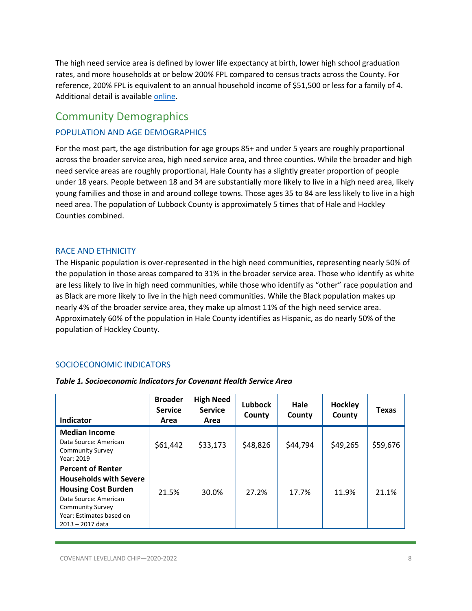The high need service area is defined by lower life expectancy at birth, lower high school graduation rates, and more households at or below 200% FPL compared to census tracts across the County. For reference, 200% FPL is equivalent to an annual household income of \$51,500 or less for a family of 4. Additional detail is availabl[e online.](https://psjh.maps.arcgis.com/apps/opsdashboard/index.html#/3213ef87f2dd420a9d0f78aaab2f5984)

### <span id="page-7-0"></span>Community Demographics

### POPULATION AND AGE DEMOGRAPHICS

For the most part, the age distribution for age groups 85+ and under 5 years are roughly proportional across the broader service area, high need service area, and three counties. While the broader and high need service areas are roughly proportional, Hale County has a slightly greater proportion of people under 18 years. People between 18 and 34 are substantially more likely to live in a high need area, likely young families and those in and around college towns. Those ages 35 to 84 are less likely to live in a high need area. The population of Lubbock County is approximately 5 times that of Hale and Hockley Counties combined.

### RACE AND ETHNICITY

The Hispanic population is over-represented in the high need communities, representing nearly 50% of the population in those areas compared to 31% in the broader service area. Those who identify as white are less likely to live in high need communities, while those who identify as "other" race population and as Black are more likely to live in the high need communities. While the Black population makes up nearly 4% of the broader service area, they make up almost 11% of the high need service area. Approximately 60% of the population in Hale County identifies as Hispanic, as do nearly 50% of the population of Hockley County.

### SOCIOECONOMIC INDICATORS

| Indicator                                                                                                                                                                                   | <b>Broader</b><br><b>Service</b><br>Area | <b>High Need</b><br><b>Service</b><br>Area | <b>Lubbock</b><br>County | Hale<br>County | Hockley<br>County | <b>Texas</b> |
|---------------------------------------------------------------------------------------------------------------------------------------------------------------------------------------------|------------------------------------------|--------------------------------------------|--------------------------|----------------|-------------------|--------------|
| <b>Median Income</b><br>Data Source: American<br><b>Community Survey</b><br>Year: 2019                                                                                                      | \$61,442                                 | \$33,173                                   | \$48,826                 | \$44,794       | \$49,265          | \$59,676     |
| <b>Percent of Renter</b><br><b>Households with Severe</b><br><b>Housing Cost Burden</b><br>Data Source: American<br><b>Community Survey</b><br>Year: Estimates based on<br>2013 - 2017 data | 21.5%                                    | 30.0%                                      | 27.2%                    | 17.7%          | 11.9%             | 21.1%        |

#### *Table 1. Socioeconomic Indicators for Covenant Health Service Area*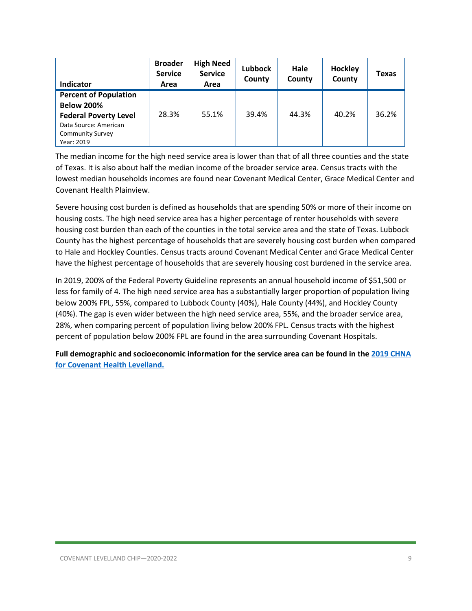| Indicator                    | <b>Broader</b><br><b>Service</b><br>Area | <b>High Need</b><br><b>Service</b><br>Area | <b>Lubbock</b><br>County | Hale<br>County | Hockley<br>County | <b>Texas</b> |
|------------------------------|------------------------------------------|--------------------------------------------|--------------------------|----------------|-------------------|--------------|
| <b>Percent of Population</b> |                                          |                                            |                          |                |                   |              |
| <b>Below 200%</b>            |                                          |                                            |                          |                |                   |              |
| <b>Federal Poverty Level</b> | 28.3%                                    | 55.1%                                      | 39.4%                    | 44.3%          | 40.2%             | 36.2%        |
| Data Source: American        |                                          |                                            |                          |                |                   |              |
| <b>Community Survey</b>      |                                          |                                            |                          |                |                   |              |
| Year: 2019                   |                                          |                                            |                          |                |                   |              |

The median income for the high need service area is lower than that of all three counties and the state of Texas. It is also about half the median income of the broader service area. Census tracts with the lowest median households incomes are found near Covenant Medical Center, Grace Medical Center and Covenant Health Plainview.

Severe housing cost burden is defined as households that are spending 50% or more of their income on housing costs. The high need service area has a higher percentage of renter households with severe housing cost burden than each of the counties in the total service area and the state of Texas. Lubbock County has the highest percentage of households that are severely housing cost burden when compared to Hale and Hockley Counties. Census tracts around Covenant Medical Center and Grace Medical Center have the highest percentage of households that are severely housing cost burdened in the service area.

In 2019, 200% of the Federal Poverty Guideline represents an annual household income of \$51,500 or less for family of 4. The high need service area has a substantially larger proportion of population living below 200% FPL, 55%, compared to Lubbock County (40%), Hale County (44%), and Hockley County (40%). The gap is even wider between the high need service area, 55%, and the broader service area, 28%, when comparing percent of population living below 200% FPL. Census tracts with the highest percent of population below 200% FPL are found in the area surrounding Covenant Hospitals.

**Full demographic and socioeconomic information for the service area can be found in th[e 2019 CHNA](https://www.providence.org/-/media/Project/psjh/providence/socal/Files/about/community-benefit/reports/2019chna-covenantlevelland.pdf?la=en&hash=CE8A4AF1254E23B7378C9FA3161B7B9E)  [for Covenant Health Levelland.](https://www.providence.org/-/media/Project/psjh/providence/socal/Files/about/community-benefit/reports/2019chna-covenantlevelland.pdf?la=en&hash=CE8A4AF1254E23B7378C9FA3161B7B9E)**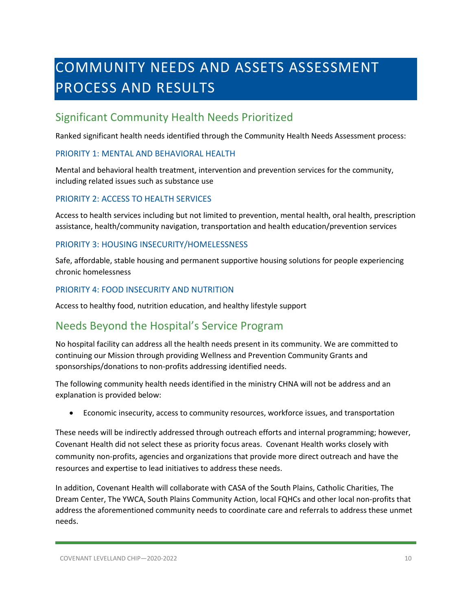# <span id="page-9-0"></span>COMMUNITY NEEDS AND ASSETS ASSESSMENT PROCESS AND RESULTS

### <span id="page-9-1"></span>Significant Community Health Needs Prioritized

Ranked significant health needs identified through the Community Health Needs Assessment process:

### PRIORITY 1: MENTAL AND BEHAVIORAL HEALTH

Mental and behavioral health treatment, intervention and prevention services for the community, including related issues such as substance use

### PRIORITY 2: ACCESS TO HEALTH SERVICES

Access to health services including but not limited to prevention, mental health, oral health, prescription assistance, health/community navigation, transportation and health education/prevention services

### PRIORITY 3: HOUSING INSECURITY/HOMELESSNESS

Safe, affordable, stable housing and permanent supportive housing solutions for people experiencing chronic homelessness

### PRIORITY 4: FOOD INSECURITY AND NUTRITION

Access to healthy food, nutrition education, and healthy lifestyle support

### <span id="page-9-2"></span>Needs Beyond the Hospital's Service Program

No hospital facility can address all the health needs present in its community. We are committed to continuing our Mission through providing Wellness and Prevention Community Grants and sponsorships/donations to non-profits addressing identified needs.

The following community health needs identified in the ministry CHNA will not be address and an explanation is provided below:

• Economic insecurity, access to community resources, workforce issues, and transportation

These needs will be indirectly addressed through outreach efforts and internal programming; however, Covenant Health did not select these as priority focus areas. Covenant Health works closely with community non-profits, agencies and organizations that provide more direct outreach and have the resources and expertise to lead initiatives to address these needs.

In addition, Covenant Health will collaborate with CASA of the South Plains, Catholic Charities, The Dream Center, The YWCA, South Plains Community Action, local FQHCs and other local non-profits that address the aforementioned community needs to coordinate care and referrals to address these unmet needs.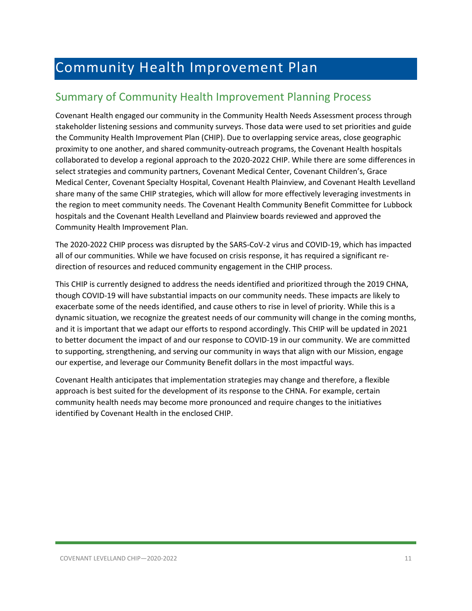# <span id="page-10-0"></span>Community Health Improvement Plan

### <span id="page-10-1"></span>Summary of Community Health Improvement Planning Process

Covenant Health engaged our community in the Community Health Needs Assessment process through stakeholder listening sessions and community surveys. Those data were used to set priorities and guide the Community Health Improvement Plan (CHIP). Due to overlapping service areas, close geographic proximity to one another, and shared community-outreach programs, the Covenant Health hospitals collaborated to develop a regional approach to the 2020-2022 CHIP. While there are some differences in select strategies and community partners, Covenant Medical Center, Covenant Children's, Grace Medical Center, Covenant Specialty Hospital, Covenant Health Plainview, and Covenant Health Levelland share many of the same CHIP strategies, which will allow for more effectively leveraging investments in the region to meet community needs. The Covenant Health Community Benefit Committee for Lubbock hospitals and the Covenant Health Levelland and Plainview boards reviewed and approved the Community Health Improvement Plan.

The 2020-2022 CHIP process was disrupted by the SARS-CoV-2 virus and COVID-19, which has impacted all of our communities. While we have focused on crisis response, it has required a significant redirection of resources and reduced community engagement in the CHIP process.

This CHIP is currently designed to address the needs identified and prioritized through the 2019 CHNA, though COVID-19 will have substantial impacts on our community needs. These impacts are likely to exacerbate some of the needs identified, and cause others to rise in level of priority. While this is a dynamic situation, we recognize the greatest needs of our community will change in the coming months, and it is important that we adapt our efforts to respond accordingly. This CHIP will be updated in 2021 to better document the impact of and our response to COVID-19 in our community. We are committed to supporting, strengthening, and serving our community in ways that align with our Mission, engage our expertise, and leverage our Community Benefit dollars in the most impactful ways.

Covenant Health anticipates that implementation strategies may change and therefore, a flexible approach is best suited for the development of its response to the CHNA. For example, certain community health needs may become more pronounced and require changes to the initiatives identified by Covenant Health in the enclosed CHIP.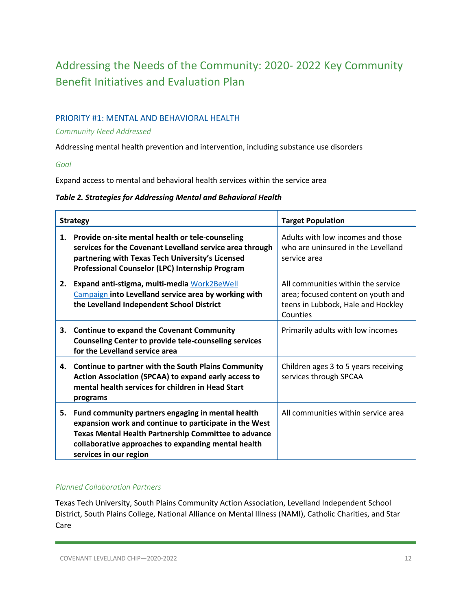## <span id="page-11-0"></span>Addressing the Needs of the Community: 2020- 2022 Key Community Benefit Initiatives and Evaluation Plan

### PRIORITY #1: MENTAL AND BEHAVIORAL HEALTH

### *Community Need Addressed*

Addressing mental health prevention and intervention, including substance use disorders

*Goal*

Expand access to mental and behavioral health services within the service area

### *Table 2. Strategies for Addressing Mental and Behavioral Health*

| <b>Strategy</b> |                                                                                                                                                                                                                                                      | <b>Target Population</b>                                                                                                   |  |
|-----------------|------------------------------------------------------------------------------------------------------------------------------------------------------------------------------------------------------------------------------------------------------|----------------------------------------------------------------------------------------------------------------------------|--|
| 1.              | Provide on-site mental health or tele-counseling<br>services for the Covenant Levelland service area through<br>partnering with Texas Tech University's Licensed<br>Professional Counselor (LPC) Internship Program                                  | Adults with low incomes and those<br>who are uninsured in the Levelland<br>service area                                    |  |
| 2.              | Expand anti-stigma, multi-media Work2BeWell<br><b>Campaign into Levelland service area by working with</b><br>the Levelland Independent School District                                                                                              | All communities within the service<br>area; focused content on youth and<br>teens in Lubbock, Hale and Hockley<br>Counties |  |
| 3.              | <b>Continue to expand the Covenant Community</b><br><b>Counseling Center to provide tele-counseling services</b><br>for the Levelland service area                                                                                                   | Primarily adults with low incomes                                                                                          |  |
| 4.              | <b>Continue to partner with the South Plains Community</b><br>Action Association (SPCAA) to expand early access to<br>mental health services for children in Head Start<br>programs                                                                  | Children ages 3 to 5 years receiving<br>services through SPCAA                                                             |  |
| 5.              | Fund community partners engaging in mental health<br>expansion work and continue to participate in the West<br>Texas Mental Health Partnership Committee to advance<br>collaborative approaches to expanding mental health<br>services in our region | All communities within service area                                                                                        |  |

### *Planned Collaboration Partners*

Texas Tech University, South Plains Community Action Association, Levelland Independent School District, South Plains College, National Alliance on Mental Illness (NAMI), Catholic Charities, and Star Care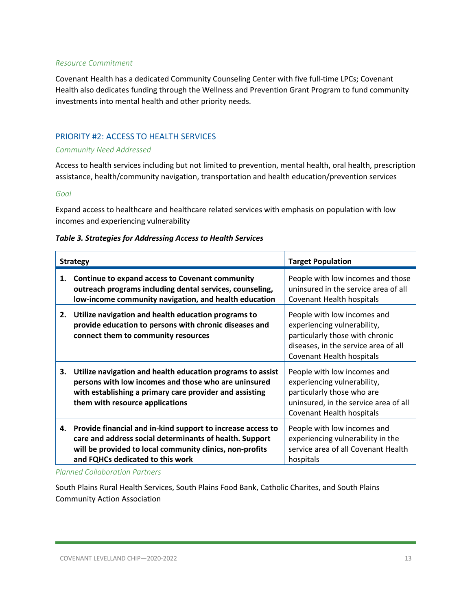### *Resource Commitment*

Covenant Health has a dedicated Community Counseling Center with five full-time LPCs; Covenant Health also dedicates funding through the Wellness and Prevention Grant Program to fund community investments into mental health and other priority needs.

### PRIORITY #2: ACCESS TO HEALTH SERVICES

#### *Community Need Addressed*

Access to health services including but not limited to prevention, mental health, oral health, prescription assistance, health/community navigation, transportation and health education/prevention services

### *Goal*

Expand access to healthcare and healthcare related services with emphasis on population with low incomes and experiencing vulnerability

| Table 3. Strategies for Addressing Access to Health Services |  |  |  |
|--------------------------------------------------------------|--|--|--|
|--------------------------------------------------------------|--|--|--|

|    | <b>Strategy</b>                                                                                                                                                                                                           | <b>Target Population</b>                                                                                                                                           |
|----|---------------------------------------------------------------------------------------------------------------------------------------------------------------------------------------------------------------------------|--------------------------------------------------------------------------------------------------------------------------------------------------------------------|
| 1. | Continue to expand access to Covenant community<br>outreach programs including dental services, counseling,<br>low-income community navigation, and health education                                                      | People with low incomes and those<br>uninsured in the service area of all<br>Covenant Health hospitals                                                             |
| 2. | Utilize navigation and health education programs to<br>provide education to persons with chronic diseases and<br>connect them to community resources                                                                      | People with low incomes and<br>experiencing vulnerability,<br>particularly those with chronic<br>diseases, in the service area of all<br>Covenant Health hospitals |
| З. | Utilize navigation and health education programs to assist<br>persons with low incomes and those who are uninsured<br>with establishing a primary care provider and assisting<br>them with resource applications          | People with low incomes and<br>experiencing vulnerability,<br>particularly those who are<br>uninsured, in the service area of all<br>Covenant Health hospitals     |
|    | 4. Provide financial and in-kind support to increase access to<br>care and address social determinants of health. Support<br>will be provided to local community clinics, non-profits<br>and FQHCs dedicated to this work | People with low incomes and<br>experiencing vulnerability in the<br>service area of all Covenant Health<br>hospitals                                               |

*Planned Collaboration Partners*

South Plains Rural Health Services, South Plains Food Bank, Catholic Charites, and South Plains Community Action Association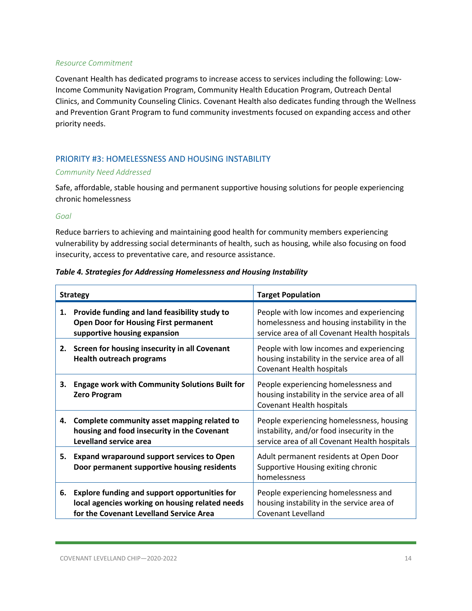### *Resource Commitment*

Covenant Health has dedicated programs to increase access to services including the following: Low-Income Community Navigation Program, Community Health Education Program, Outreach Dental Clinics, and Community Counseling Clinics. Covenant Health also dedicates funding through the Wellness and Prevention Grant Program to fund community investments focused on expanding access and other priority needs.

### PRIORITY #3: HOMELESSNESS AND HOUSING INSTABILITY

### *Community Need Addressed*

Safe, affordable, stable housing and permanent supportive housing solutions for people experiencing chronic homelessness

### *Goal*

Reduce barriers to achieving and maintaining good health for community members experiencing vulnerability by addressing social determinants of health, such as housing, while also focusing on food insecurity, access to preventative care, and resource assistance.

### *Table 4. Strategies for Addressing Homelessness and Housing Instability*

| <b>Strategy</b> |                                                                                                                                                    | <b>Target Population</b>                                                                                                                 |
|-----------------|----------------------------------------------------------------------------------------------------------------------------------------------------|------------------------------------------------------------------------------------------------------------------------------------------|
| 1.              | Provide funding and land feasibility study to<br><b>Open Door for Housing First permanent</b><br>supportive housing expansion                      | People with low incomes and experiencing<br>homelessness and housing instability in the<br>service area of all Covenant Health hospitals |
| 2.              | Screen for housing insecurity in all Covenant<br><b>Health outreach programs</b>                                                                   | People with low incomes and experiencing<br>housing instability in the service area of all<br><b>Covenant Health hospitals</b>           |
| 3.              | <b>Engage work with Community Solutions Built for</b><br><b>Zero Program</b>                                                                       | People experiencing homelessness and<br>housing instability in the service area of all<br><b>Covenant Health hospitals</b>               |
| 4.              | Complete community asset mapping related to<br>housing and food insecurity in the Covenant<br>Levelland service area                               | People experiencing homelessness, housing<br>instability, and/or food insecurity in the<br>service area of all Covenant Health hospitals |
| 5.              | <b>Expand wraparound support services to Open</b><br>Door permanent supportive housing residents                                                   | Adult permanent residents at Open Door<br>Supportive Housing exiting chronic<br>homelessness                                             |
| 6.              | <b>Explore funding and support opportunities for</b><br>local agencies working on housing related needs<br>for the Covenant Levelland Service Area | People experiencing homelessness and<br>housing instability in the service area of<br>Covenant Levelland                                 |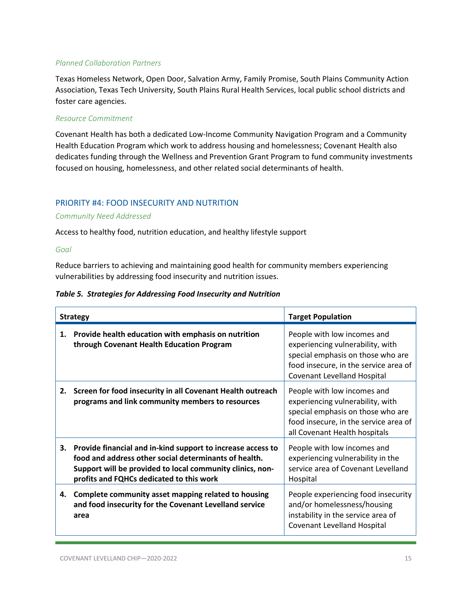### *Planned Collaboration Partners*

Texas Homeless Network, Open Door, Salvation Army, Family Promise, South Plains Community Action Association, Texas Tech University, South Plains Rural Health Services, local public school districts and foster care agencies.

#### *Resource Commitment*

Covenant Health has both a dedicated Low-Income Community Navigation Program and a Community Health Education Program which work to address housing and homelessness; Covenant Health also dedicates funding through the Wellness and Prevention Grant Program to fund community investments focused on housing, homelessness, and other related social determinants of health.

### PRIORITY #4: FOOD INSECURITY AND NUTRITION

### *Community Need Addressed*

Access to healthy food, nutrition education, and healthy lifestyle support

### *Goal*

Reduce barriers to achieving and maintaining good health for community members experiencing vulnerabilities by addressing food insecurity and nutrition issues.

### *Table 5. Strategies for Addressing Food Insecurity and Nutrition*

|    | <b>Strategy</b>                                                                                                                                                                                                               | <b>Target Population</b>                                                                                                                                                            |
|----|-------------------------------------------------------------------------------------------------------------------------------------------------------------------------------------------------------------------------------|-------------------------------------------------------------------------------------------------------------------------------------------------------------------------------------|
| 1. | Provide health education with emphasis on nutrition<br>through Covenant Health Education Program                                                                                                                              | People with low incomes and<br>experiencing vulnerability, with<br>special emphasis on those who are<br>food insecure, in the service area of<br><b>Covenant Levelland Hospital</b> |
| 2. | Screen for food insecurity in all Covenant Health outreach<br>programs and link community members to resources                                                                                                                | People with low incomes and<br>experiencing vulnerability, with<br>special emphasis on those who are<br>food insecure, in the service area of<br>all Covenant Health hospitals      |
| 3. | Provide financial and in-kind support to increase access to<br>food and address other social determinants of health.<br>Support will be provided to local community clinics, non-<br>profits and FQHCs dedicated to this work | People with low incomes and<br>experiencing vulnerability in the<br>service area of Covenant Levelland<br>Hospital                                                                  |
| 4. | Complete community asset mapping related to housing<br>and food insecurity for the Covenant Levelland service<br>area                                                                                                         | People experiencing food insecurity<br>and/or homelessness/housing<br>instability in the service area of<br><b>Covenant Levelland Hospital</b>                                      |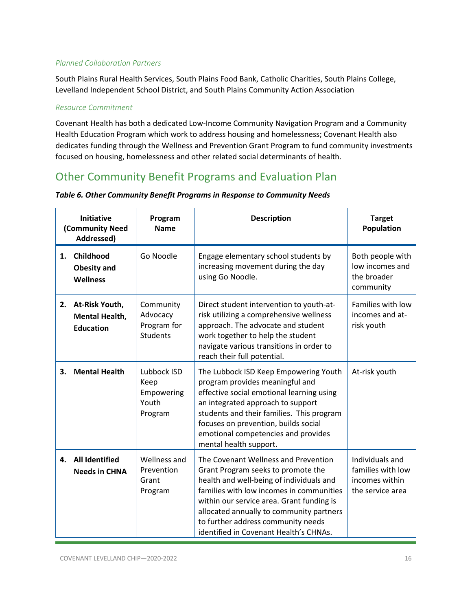### *Planned Collaboration Partners*

South Plains Rural Health Services, South Plains Food Bank, Catholic Charities, South Plains College, Levelland Independent School District, and South Plains Community Action Association

### *Resource Commitment*

Covenant Health has both a dedicated Low-Income Community Navigation Program and a Community Health Education Program which work to address housing and homelessness; Covenant Health also dedicates funding through the Wellness and Prevention Grant Program to fund community investments focused on housing, homelessness and other related social determinants of health.

### <span id="page-15-0"></span>Other Community Benefit Programs and Evaluation Plan

| <b>Initiative</b><br>(Community Need<br>Addressed) |                                                                | Program<br><b>Name</b>                                  | <b>Description</b>                                                                                                                                                                                                                                                                                                                          | <b>Target</b><br>Population                                                |
|----------------------------------------------------|----------------------------------------------------------------|---------------------------------------------------------|---------------------------------------------------------------------------------------------------------------------------------------------------------------------------------------------------------------------------------------------------------------------------------------------------------------------------------------------|----------------------------------------------------------------------------|
| 1.                                                 | Childhood<br><b>Obesity and</b><br><b>Wellness</b>             | Go Noodle                                               | Engage elementary school students by<br>increasing movement during the day<br>using Go Noodle.                                                                                                                                                                                                                                              | Both people with<br>low incomes and<br>the broader<br>community            |
|                                                    | 2. At-Risk Youth,<br><b>Mental Health,</b><br><b>Education</b> | Community<br>Advocacy<br>Program for<br><b>Students</b> | Direct student intervention to youth-at-<br>risk utilizing a comprehensive wellness<br>approach. The advocate and student<br>work together to help the student<br>navigate various transitions in order to<br>reach their full potential.                                                                                                   | Families with low<br>incomes and at-<br>risk youth                         |
| 3.                                                 | <b>Mental Health</b>                                           | Lubbock ISD<br>Keep<br>Empowering<br>Youth<br>Program   | The Lubbock ISD Keep Empowering Youth<br>program provides meaningful and<br>effective social emotional learning using<br>an integrated approach to support<br>students and their families. This program<br>focuses on prevention, builds social<br>emotional competencies and provides<br>mental health support.                            | At-risk youth                                                              |
| 4.                                                 | <b>All Identified</b><br><b>Needs in CHNA</b>                  | Wellness and<br>Prevention<br>Grant<br>Program          | The Covenant Wellness and Prevention<br>Grant Program seeks to promote the<br>health and well-being of individuals and<br>families with low incomes in communities<br>within our service area. Grant funding is<br>allocated annually to community partners<br>to further address community needs<br>identified in Covenant Health's CHNAs. | Individuals and<br>families with low<br>incomes within<br>the service area |

### *Table 6. Other Community Benefit Programs in Response to Community Needs*